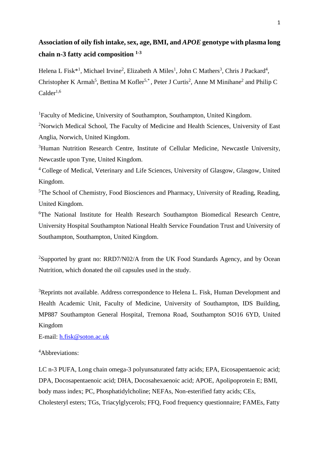# **Association of oily fish intake, sex, age, BMI, and** *APOE* **genotype with plasma long chain n-3 fatty acid composition 1-3**

Helena L Fisk<sup>\*1</sup>, Michael Irvine<sup>2</sup>, Elizabeth A Miles<sup>1</sup>, John C Mathers<sup>3</sup>, Chris J Packard<sup>4</sup>, Christopher K Armah<sup>5</sup>, Bettina M Kofler<sup>5,\*</sup>, Peter J Curtis<sup>2</sup>, Anne M Minihane<sup>2</sup> and Philip C  $Calder<sup>1,6</sup>$ 

<sup>1</sup>Faculty of Medicine, University of Southampton, Southampton, United Kingdom.

<sup>2</sup>Norwich Medical School, The Faculty of Medicine and Health Sciences, University of East Anglia, Norwich, United Kingdom.

<sup>3</sup>Human Nutrition Research Centre, Institute of Cellular Medicine, Newcastle University, Newcastle upon Tyne, United Kingdom.

<sup>4</sup> College of Medical, Veterinary and Life Sciences, University of Glasgow, Glasgow, United Kingdom.

<sup>5</sup>The School of Chemistry, Food Biosciences and Pharmacy, University of Reading, Reading, United Kingdom.

<sup>6</sup>The National Institute for Health Research Southampton Biomedical Research Centre, University Hospital Southampton National Health Service Foundation Trust and University of Southampton, Southampton, United Kingdom.

<sup>2</sup>Supported by grant no: RRD7/N02/A from the UK Food Standards Agency, and by Ocean Nutrition, which donated the oil capsules used in the study.

<sup>3</sup>Reprints not available. Address correspondence to Helena L. Fisk, Human Development and Health Academic Unit, Faculty of Medicine, University of Southampton, IDS Building, MP887 Southampton General Hospital, Tremona Road, Southampton SO16 6YD, United Kingdom

E-mail: [h.fisk@soton.ac.uk](mailto:h.fisk@soton.ac.uk)

## <sup>4</sup>Abbreviations:

LC n-3 PUFA, Long chain omega-3 polyunsaturated fatty acids; EPA, Eicosapentaenoic acid; DPA, Docosapentaenoic acid; DHA, Docosahexaenoic acid; APOE, Apolipoprotein E; BMI, body mass index; PC, Phosphatidylcholine; NEFAs, Non-esterified fatty acids; CEs, Cholesteryl esters; TGs, Triacylglycerols; FFQ, Food frequency questionnaire; FAMEs, Fatty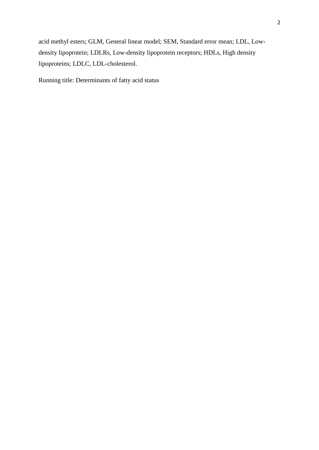acid methyl esters; GLM, General linear model; SEM, Standard error mean; LDL, Lowdensity lipoprotein; LDLRs, Low-density lipoprotein receptors; HDLs, High density lipoproteins; LDLC, LDL-cholesterol.

Running title: Determinants of fatty acid status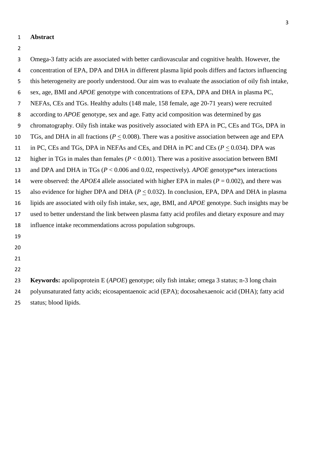- **Abstract**
- 

| 3              | Omega-3 fatty acids are associated with better cardiovascular and cognitive health. However, the             |
|----------------|--------------------------------------------------------------------------------------------------------------|
| 4              | concentration of EPA, DPA and DHA in different plasma lipid pools differs and factors influencing            |
| 5              | this heterogeneity are poorly understood. Our aim was to evaluate the association of oily fish intake,       |
| 6              | sex, age, BMI and <i>APOE</i> genotype with concentrations of EPA, DPA and DHA in plasma PC,                 |
| $\overline{7}$ | NEFAs, CEs and TGs. Healthy adults (148 male, 158 female, age 20-71 years) were recruited                    |
| 8              | according to <i>APOE</i> genotype, sex and age. Fatty acid composition was determined by gas                 |
| 9              | chromatography. Oily fish intake was positively associated with EPA in PC, CEs and TGs, DPA in               |
| 10             | TGs, and DHA in all fractions ( $P < 0.008$ ). There was a positive association between age and EPA          |
| 11             | in PC, CEs and TGs, DPA in NEFAs and CEs, and DHA in PC and CEs $(P < 0.034)$ . DPA was                      |
| 12             | higher in TGs in males than females ( $P < 0.001$ ). There was a positive association between BMI            |
| 13             | and DPA and DHA in TGs ( $P < 0.006$ and 0.02, respectively). APOE genotype*sex interactions                 |
| 14             | were observed: the <i>APOE</i> 4 allele associated with higher EPA in males ( $P = 0.002$ ), and there was   |
| 15             | also evidence for higher DPA and DHA ( $P < 0.032$ ). In conclusion, EPA, DPA and DHA in plasma              |
| 16             | lipids are associated with oily fish intake, sex, age, BMI, and <i>APOE</i> genotype. Such insights may be   |
| 17             | used to better understand the link between plasma fatty acid profiles and dietary exposure and may           |
| 18             | influence intake recommendations across population subgroups.                                                |
| 19             |                                                                                                              |
| 20             |                                                                                                              |
| 21             |                                                                                                              |
| 22             |                                                                                                              |
| 23             | <b>Keywords:</b> apolipoprotein E ( <i>APOE</i> ) genotype; oily fish intake; omega 3 status; n-3 long chain |
| 24             | polyunsaturated fatty acids; eicosapentaenoic acid (EPA); docosahexaenoic acid (DHA); fatty acid             |
| 25             | status; blood lipids.                                                                                        |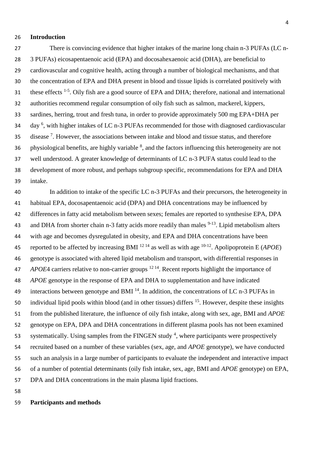#### **Introduction**

 There is convincing evidence that higher intakes of the marine long chain n-3 PUFAs (LC n- 3 PUFAs) eicosapentaenoic acid (EPA) and docosahexaenoic acid (DHA), are beneficial to cardiovascular and cognitive health, acting through a number of biological mechanisms, and that the concentration of EPA and DHA present in blood and tissue lipids is correlated positively with 31 these effects <sup>1-5</sup>. Oily fish are a good source of EPA and DHA; therefore, national and international authorities recommend regular consumption of oily fish such as salmon, mackerel, kippers, sardines, herring, trout and fresh tuna, in order to provide approximately 500 mg EPA+DHA per 34 day<sup>6</sup>, with higher intakes of LC n-3 PUFAs recommended for those with diagnosed cardiovascular 35 disease<sup>7</sup>. However, the associations between intake and blood and tissue status, and therefore 36 physiological benefits, are highly variable  $\delta$ , and the factors influencing this heterogeneity are not well understood. A greater knowledge of determinants of LC n-3 PUFA status could lead to the development of more robust, and perhaps subgroup specific, recommendations for EPA and DHA intake.

 In addition to intake of the specific LC n-3 PUFAs and their precursors, the heterogeneity in habitual EPA, docosapentaenoic acid (DPA) and DHA concentrations may be influenced by differences in fatty acid metabolism between sexes; females are reported to synthesise EPA, DPA 43 and DHA from shorter chain n-3 fatty acids more readily than males  $9-13$ . Lipid metabolism alters with age and becomes dysregulated in obesity, and EPA and DHA concentrations have been 45 reported to be affected by increasing BMI  $^{12}$  <sup>14</sup> as well as with age  $^{10-12}$ . Apolipoprotein E (*APOE*) genotype is associated with altered lipid metabolism and transport, with differential responses in *APOEA* carriers relative to non-carrier groups <sup>12 14</sup>. Recent reports highlight the importance of *APOE* genotype in the response of EPA and DHA to supplementation and have indicated 49 interactions between genotype and BMI  $<sup>14</sup>$ . In addition, the concentrations of LC n-3 PUFAs in</sup> 50 individual lipid pools within blood (and in other tissues) differs . However, despite these insights from the published literature, the influence of oily fish intake, along with sex, age, BMI and *APOE* genotype on EPA, DPA and DHA concentrations in different plasma pools has not been examined 53 systematically. Using samples from the FINGEN study , where participants were prospectively recruited based on a number of these variables (sex, age, and *APOE* genotype), we have conducted such an analysis in a large number of participants to evaluate the independent and interactive impact of a number of potential determinants (oily fish intake, sex, age, BMI and *APOE* genotype) on EPA, DPA and DHA concentrations in the main plasma lipid fractions.

## **Participants and methods**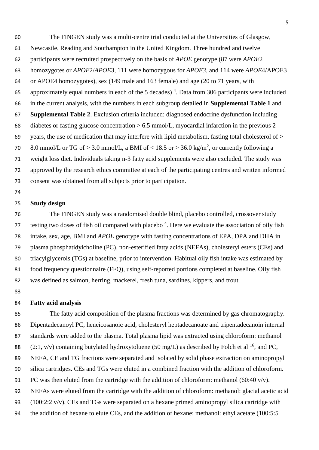The FINGEN study was a multi-centre trial conducted at the Universities of Glasgow, Newcastle, Reading and Southampton in the United Kingdom. Three hundred and twelve participants were recruited prospectively on the basis of *APOE* genotype (87 were *APOE*2 homozygotes or *APOE*2/*APOE*3*,* 111 were homozygous for *APOE3,* and 114 were *APOE*4/APOE3 or APOE4 homozygotes), sex (149 male and 163 female) and age (20 to 71 years, with 65 approximately equal numbers in each of the 5 decades)<sup>4</sup>. Data from 306 participants were included in the current analysis, with the numbers in each subgroup detailed in **Supplemental Table 1** and **Supplemental Table 2**. Exclusion criteria included: diagnosed endocrine dysfunction including diabetes or fasting glucose concentration > 6.5 mmol/L, myocardial infarction in the previous 2 69 years, the use of medication that may interfere with lipid metabolism, fasting total cholesterol of  $>$ 70 8.0 mmol/L or TG of > 3.0 mmol/L, a BMI of < 18.5 or > 36.0 kg/m<sup>2</sup>, or currently following a weight loss diet. Individuals taking n-3 fatty acid supplements were also excluded. The study was approved by the research ethics committee at each of the participating centres and written informed consent was obtained from all subjects prior to participation.

#### **Study design**

 The FINGEN study was a randomised double blind, placebo controlled, crossover study testing two doses of fish oil compared with placebo<sup>4</sup>. Here we evaluate the association of oily fish intake, sex, age, BMI and *APOE* genotype with fasting concentrations of EPA, DPA and DHA in plasma phosphatidylcholine (PC), non-esterified fatty acids (NEFAs), cholesteryl esters (CEs) and triacylglycerols (TGs) at baseline, prior to intervention. Habitual oily fish intake was estimated by 81 food frequency questionnaire (FFQ), using self-reported portions completed at baseline. Oily fish was defined as salmon, herring, mackerel, fresh tuna, sardines, kippers, and trout.

## **Fatty acid analysis**

 The fatty acid composition of the plasma fractions was determined by gas chromatography. Dipentadecanoyl PC, heneicosanoic acid, cholesteryl heptadecanoate and tripentadecanoin internal standards were added to the plasma. Total plasma lipid was extracted using chloroform: methanol 88 (2:1, v/v) containing butylated hydroxytoluene (50 mg/L) as described by Folch et al <sup>16</sup>, and PC, NEFA, CE and TG fractions were separated and isolated by solid phase extraction on aminopropyl silica cartridges. CEs and TGs were eluted in a combined fraction with the addition of chloroform. 91 PC was then eluted from the cartridge with the addition of chloroform: methanol (60:40 v/v). NEFAs were eluted from the cartridge with the addition of chloroform: methanol: glacial acetic acid (100:2:2 v/v). CEs and TGs were separated on a hexane primed aminopropyl silica cartridge with the addition of hexane to elute CEs, and the addition of hexane: methanol: ethyl acetate (100:5:5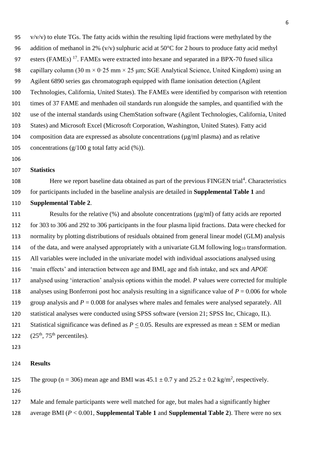95  $v/v/v$ ) to elute TGs. The fatty acids within the resulting lipid fractions were methylated by the 96 addition of methanol in 2% (v/v) sulphuric acid at 50 $^{\circ}$ C for 2 hours to produce fatty acid methyl 97 esters (FAMEs)<sup>17</sup>. FAMEs were extracted into hexane and separated in a BPX-70 fused silica 98 capillary column  $(30 \text{ m} \times 0.25 \text{ mm} \times 25 \text{ mm})$ ; SGE Analytical Science, United Kingdom) using an Agilent 6890 series gas chromatograph equipped with flame ionisation detection (Agilent Technologies, California, United States). The FAMEs were identified by comparison with retention times of 37 FAME and menhaden oil standards run alongside the samples, and quantified with the use of the internal standards using ChemStation software (Agilent Technologies, California, United States) and Microsoft Excel (Microsoft Corporation, Washington, United States). Fatty acid 104 composition data are expressed as absolute concentrations  $(\mu g/ml)$  plasma) and as relative 105 concentrations  $(g/100 \text{ g total fatty acid } (\%))$ .

### **Statistics**

108 Here we report baseline data obtained as part of the previous FINGEN trial<sup>4</sup>. Characteristics for participants included in the baseline analysis are detailed in **Supplemental Table 1** and

#### **Supplemental Table 2**.

111 Results for the relative (%) and absolute concentrations ( $\mu$ g/ml) of fatty acids are reported for 303 to 306 and 292 to 306 participants in the four plasma lipid fractions. Data were checked for normality by plotting distributions of residuals obtained from general linear model (GLM) analysis 114 of the data, and were analysed appropriately with a univariate GLM following log<sub>10</sub> transformation. All variables were included in the univariate model with individual associations analysed using 'main effects' and interaction between age and BMI, age and fish intake, and sex and *APOE*  analysed using 'interaction' analysis options within the model. *P* values were corrected for multiple 118 analyses using Bonferroni post hoc analysis resulting in a significance value of  $P = 0.006$  for whole group analysis and *P* = 0.008 for analyses where males and females were analysed separately. All statistical analyses were conducted using SPSS software (version 21; SPSS Inc, Chicago, IL). Statistical significance was defined as *P* < 0.05. Results are expressed as mean ± SEM or median  $(25<sup>th</sup>, 75<sup>th</sup>$  percentiles).

#### **Results**

125 The group ( $n = 306$ ) mean age and BMI was  $45.1 \pm 0.7$  y and  $25.2 \pm 0.2$  kg/m<sup>2</sup>, respectively.

Male and female participants were well matched for age, but males had a significantly higher

average BMI (*P* < 0.001, **Supplemental Table 1** and **Supplemental Table 2**). There were no sex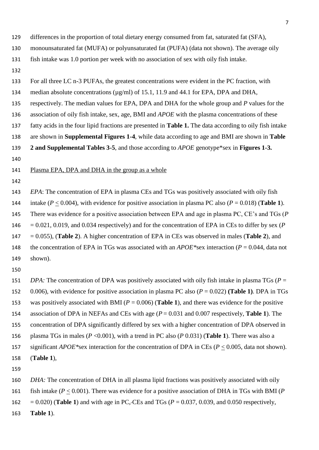| 129 | differences in the proportion of total dietary energy consumed from fat, saturated fat (SFA),                   |
|-----|-----------------------------------------------------------------------------------------------------------------|
| 130 | monounsaturated fat (MUFA) or polyunsaturated fat (PUFA) (data not shown). The average oily                     |
| 131 | fish intake was 1.0 portion per week with no association of sex with oily fish intake.                          |
| 132 |                                                                                                                 |
| 133 | For all three LC n-3 PUFAs, the greatest concentrations were evident in the PC fraction, with                   |
| 134 | median absolute concentrations (µg/ml) of 15.1, 11.9 and 44.1 for EPA, DPA and DHA,                             |
| 135 | respectively. The median values for EPA, DPA and DHA for the whole group and P values for the                   |
| 136 | association of oily fish intake, sex, age, BMI and <i>APOE</i> with the plasma concentrations of these          |
| 137 | fatty acids in the four lipid fractions are presented in Table 1. The data according to oily fish intake        |
| 138 | are shown in Supplemental Figures 1-4, while data according to age and BMI are shown in Table                   |
| 139 | 2 and Supplemental Tables 3-5, and those according to <i>APOE</i> genotype*sex in Figures 1-3.                  |
| 140 |                                                                                                                 |
| 141 | Plasma EPA, DPA and DHA in the group as a whole                                                                 |
| 142 |                                                                                                                 |
| 143 | EPA: The concentration of EPA in plasma CEs and TGs was positively associated with oily fish                    |
| 144 | intake ( $P \le 0.004$ ), with evidence for positive association in plasma PC also ( $P = 0.018$ ) (Table 1).   |
| 145 | There was evidence for a positive association between EPA and age in plasma PC, $CE$ 's and TGs ( $P$ )         |
| 146 | $= 0.021, 0.019$ , and 0.034 respectively) and for the concentration of EPA in CEs to differ by sex (P          |
| 147 | $= 0.055$ ), (Table 2). A higher concentration of EPA in CEs was observed in males (Table 2), and               |
| 148 | the concentration of EPA in TGs was associated with an $APOE$ *sex interaction ( $P = 0.044$ , data not         |
| 149 | shown).                                                                                                         |
| 150 |                                                                                                                 |
| 151 | DPA: The concentration of DPA was positively associated with oily fish intake in plasma TGs ( $P =$             |
| 152 | 0.006), with evidence for positive association in plasma PC also ( $P = 0.022$ ) (Table 1). DPA in TGs          |
| 153 | was positively associated with BMI ( $P = 0.006$ ) (Table 1), and there was evidence for the positive           |
| 154 | association of DPA in NEFAs and CEs with age $(P = 0.031$ and 0.007 respectively, <b>Table 1</b> ). The         |
| 155 | concentration of DPA significantly differed by sex with a higher concentration of DPA observed in               |
| 156 | plasma TGs in males ( $P \le 0.001$ ), with a trend in PC also ( $P \le 0.031$ ) (Table 1). There was also a    |
| 157 | significant <i>APOE</i> *sex interaction for the concentration of DPA in CEs ( $P \le 0.005$ , data not shown). |
| 158 | (Table 1),                                                                                                      |
| 159 |                                                                                                                 |
| 160 | DHA: The concentration of DHA in all plasma lipid fractions was positively associated with oily                 |
| 161 | fish intake ( $P \le 0.001$ ). There was evidence for a positive association of DHA in TGs with BMI (P          |
|     |                                                                                                                 |

= 0.020) (**Table 1**) and with age in PC, CEs and TGs (*P* = 0.037, 0.039, and 0.050 respectively,

**Table 1**).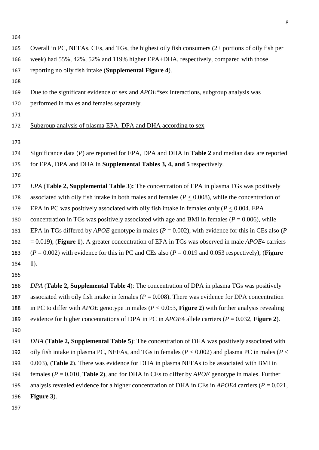| I<br>۰.<br>× |  |
|--------------|--|
|              |  |

| 165 | Overall in PC, NEFAs, CEs, and TGs, the highest oily fish consumers (2+ portions of oily fish per                        |
|-----|--------------------------------------------------------------------------------------------------------------------------|
| 166 | week) had 55%, 42%, 52% and 119% higher EPA+DHA, respectively, compared with those                                       |
| 167 | reporting no oily fish intake (Supplemental Figure 4).                                                                   |
| 168 |                                                                                                                          |
| 169 | Due to the significant evidence of sex and $APOE$ *sex interactions, subgroup analysis was                               |
| 170 | performed in males and females separately.                                                                               |
| 171 |                                                                                                                          |
| 172 | Subgroup analysis of plasma EPA, DPA and DHA according to sex                                                            |
| 173 |                                                                                                                          |
| 174 | Significance data $(P)$ are reported for EPA, DPA and DHA in Table 2 and median data are reported                        |
| 175 | for EPA, DPA and DHA in <b>Supplemental Tables 3, 4, and 5</b> respectively.                                             |
| 176 |                                                                                                                          |
| 177 | <i>EPA</i> (Table 2, Supplemental Table 3): The concentration of EPA in plasma TGs was positively                        |
| 178 | associated with oily fish intake in both males and females ( $P \le 0.008$ ), while the concentration of                 |
| 179 | EPA in PC was positively associated with oily fish intake in females only ( $P \le 0.004$ . EPA                          |
| 180 | concentration in TGs was positively associated with age and BMI in females ( $P = 0.006$ ), while                        |
| 181 | EPA in TGs differed by <i>APOE</i> genotype in males ( $P = 0.002$ ), with evidence for this in CEs also ( $P = 0.002$ ) |
| 182 | $= 0.019$ ), (Figure 1). A greater concentration of EPA in TGs was observed in male <i>APOE</i> 4 carriers               |
| 183 | $(P = 0.002)$ with evidence for this in PC and CEs also $(P = 0.019$ and 0.053 respectively), ( <b>Figure</b>            |
| 184 | $\mathbf{1}$ .                                                                                                           |
| 185 |                                                                                                                          |
| 186 | DPA (Table 2, Supplemental Table 4): The concentration of DPA in plasma TGs was positively                               |
| 187 | associated with oily fish intake in females ( $P = 0.008$ ). There was evidence for DPA concentration                    |
| 188 | in PC to differ with <i>APOE</i> genotype in males ( $P \le 0.053$ , Figure 2) with further analysis revealing           |
| 189 | evidence for higher concentrations of DPA in PC in <i>APOE</i> 4 allele carriers ( $P = 0.032$ , Figure 2).              |
| 190 |                                                                                                                          |
| 191 | DHA (Table 2, Supplemental Table 5): The concentration of DHA was positively associated with                             |
| 192 | oily fish intake in plasma PC, NEFAs, and TGs in females ( $P \le 0.002$ ) and plasma PC in males ( $P \le$              |
| 193 | 0.003), (Table 2). There was evidence for DHA in plasma NEFAs to be associated with BMI in                               |
| 194 | females ( $P = 0.010$ , Table 2), and for DHA in CEs to differ by <i>APOE</i> genotype in males. Further                 |
| 195 | analysis revealed evidence for a higher concentration of DHA in CEs in <i>APOE</i> 4 carriers ( $P = 0.021$ ,            |
| 196 | Figure 3).                                                                                                               |
| 197 |                                                                                                                          |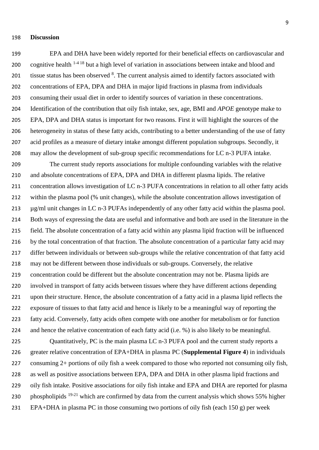#### **Discussion**

 EPA and DHA have been widely reported for their beneficial effects on cardiovascular and 200 cognitive health  $1-4/18$  but a high level of variation in associations between intake and blood and 201 tissue status has been observed <sup>8</sup>. The current analysis aimed to identify factors associated with concentrations of EPA, DPA and DHA in major lipid fractions in plasma from individuals consuming their usual diet in order to identify sources of variation in these concentrations. Identification of the contribution that oily fish intake, sex, age, BMI and *APOE* genotype make to EPA, DPA and DHA status is important for two reasons. First it will highlight the sources of the heterogeneity in status of these fatty acids, contributing to a better understanding of the use of fatty acid profiles as a measure of dietary intake amongst different population subgroups. Secondly, it may allow the development of sub-group specific recommendations for LC n-3 PUFA intake.

 The current study reports associations for multiple confounding variables with the relative and absolute concentrations of EPA, DPA and DHA in different plasma lipids. The relative concentration allows investigation of LC n-3 PUFA concentrations in relation to all other fatty acids within the plasma pool (% unit changes), while the absolute concentration allows investigation of µg/ml unit changes in LC n-3 PUFAs independently of any other fatty acid within the plasma pool. Both ways of expressing the data are useful and informative and both are used in the literature in the field. The absolute concentration of a fatty acid within any plasma lipid fraction will be influenced by the total concentration of that fraction. The absolute concentration of a particular fatty acid may differ between individuals or between sub-groups while the relative concentration of that fatty acid may not be different between those individuals or sub-groups. Conversely, the relative concentration could be different but the absolute concentration may not be. Plasma lipids are involved in transport of fatty acids between tissues where they have different actions depending upon their structure. Hence, the absolute concentration of a fatty acid in a plasma lipid reflects the exposure of tissues to that fatty acid and hence is likely to be a meaningful way of reporting the fatty acid. Conversely, fatty acids often compete with one another for metabolism or for function and hence the relative concentration of each fatty acid (i.e. %) is also likely to be meaningful.

 Quantitatively, PC is the main plasma LC n-3 PUFA pool and the current study reports a greater relative concentration of EPA+DHA in plasma PC (**Supplemental Figure 4**) in individuals consuming 2+ portions of oily fish a week compared to those who reported not consuming oily fish, as well as positive associations between EPA, DPA and DHA in other plasma lipid fractions and oily fish intake. Positive associations for oily fish intake and EPA and DHA are reported for plasma 230 phospholipids  $19-21$  which are confirmed by data from the current analysis which shows 55% higher EPA+DHA in plasma PC in those consuming two portions of oily fish (each 150 g) per week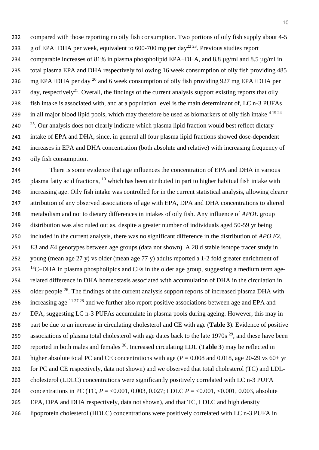compared with those reporting no oily fish consumption. Two portions of oily fish supply about 4-5 233 g of EPA+DHA per week, equivalent to 600-700 mg per day<sup>22 23</sup>. Previous studies report 234 comparable increases of 81% in plasma phospholipid EPA+DHA, and 8.8 ug/ml and 8.5 ug/ml in total plasma EPA and DHA respectively following 16 week consumption of oily fish providing 485 236 mg EPA+DHA per day  $^{20}$  and 6 week consumption of oily fish providing 927 mg EPA+DHA per 237 day, respectively<sup>21</sup>. Overall, the findings of the current analysis support existing reports that oily fish intake is associated with, and at a population level is the main determinant of, LC n-3 PUFAs 239 in all major blood lipid pools, which may therefore be used as biomarkers of oily fish intake  $4^{19\,24}$   $25$ . Our analysis does not clearly indicate which plasma lipid fraction would best reflect dietary intake of EPA and DHA, since, in general all four plasma lipid fractions showed dose-dependent increases in EPA and DHA concentration (both absolute and relative) with increasing frequency of oily fish consumption.

 There is some evidence that age influences the concentration of EPA and DHA in various 245 plasma fatty acid fractions, which has been attributed in part to higher habitual fish intake with increasing age. Oily fish intake was controlled for in the current statistical analysis, allowing clearer attribution of any observed associations of age with EPA, DPA and DHA concentrations to altered metabolism and not to dietary differences in intakes of oily fish. Any influence of *APOE* group distribution was also ruled out as, despite a greater number of individuals aged 50-59 yr being included in the current analysis, there was no significant difference in the distribution of *APO E*2, *E*3 and *E*4 genotypes between age groups (data not shown). A 28 d stable isotope tracer study in young (mean age 27 y) vs older (mean age 77 y) adults reported a 1-2 fold greater enrichment of  $^{13}$ C–DHA in plasma phospholipids and CEs in the older age group, suggesting a medium term age- related difference in DHA homeostasis associated with accumulation of DHA in the circulation in 255 older people  $^{26}$ . The findings of the current analysis support reports of increased plasma DHA with 256 increasing age  $11\frac{27\,28}{3}$  and we further also report positive associations between age and EPA and DPA, suggesting LC n-3 PUFAs accumulate in plasma pools during ageing. However, this may in part be due to an increase in circulating cholesterol and CE with age (**Table 3**). Evidence of positive 259 associations of plasma total cholesterol with age dates back to the late  $1970s^{29}$ , and these have been reported in both males and females <sup>30</sup> . Increased circulating LDL (**Table 3**) may be reflected in higher absolute total PC and CE concentrations with age (*P* = 0.008 and 0.018, age 20-29 vs 60+ yr for PC and CE respectively, data not shown) and we observed that total cholesterol (TC) and LDL- cholesterol (LDLC) concentrations were significantly positively correlated with LC n-3 PUFA concentrations in PC (TC, *P* = <0.001, 0.003, 0.027; LDLC *P* = <0.001, <0.001, 0.003, absolute EPA, DPA and DHA respectively, data not shown), and that TC, LDLC and high density lipoprotein cholesterol (HDLC) concentrations were positively correlated with LC n-3 PUFA in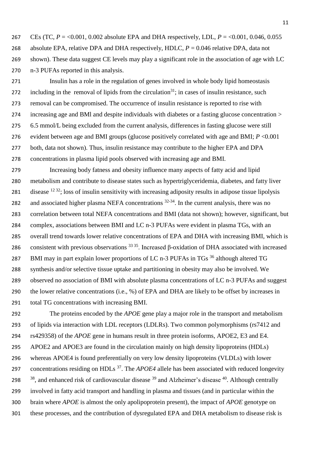267 CEs (TC,  $P = 0.001$ , 0.002 absolute EPA and DHA respectively, LDL,  $P = 0.001$ , 0.046, 0.055 absolute EPA, relative DPA and DHA respectively, HDLC, *P* = 0.046 relative DPA, data not shown). These data suggest CE levels may play a significant role in the association of age with LC n-3 PUFAs reported in this analysis.

 Insulin has a role in the regulation of genes involved in whole body lipid homeostasis 272 including in the removal of lipids from the circulation<sup>31</sup>; in cases of insulin resistance, such removal can be compromised. The occurrence of insulin resistance is reported to rise with increasing age and BMl and despite individuals with diabetes or a fasting glucose concentration > 6.5 mmol/L being excluded from the current analysis, differences in fasting glucose were still evident between age and BMI groups (glucose positively correlated with age and BMI; *P* <0.001 277 both, data not shown). Thus, insulin resistance may contribute to the higher EPA and DPA concentrations in plasma lipid pools observed with increasing age and BMI.

 Increasing body fatness and obesity influence many aspects of fatty acid and lipid metabolism and contribute to disease states such as hypertriglyceridemia, diabetes, and fatty liver 281 disease ; loss of insulin sensitivity with increasing adiposity results in adipose tissue lipolysis 282 and associated higher plasma NEFA concentrations  $32-34$ . In the current analysis, there was no correlation between total NEFA concentrations and BMI (data not shown); however, significant, but complex, associations between BMI and LC n-3 PUFAs were evident in plasma TGs, with an overall trend towards lower relative concentrations of EPA and DHA with increasing BMI, which is 286 consistent with previous observations . Increased β-oxidation of DHA associated with increased 287 BMI may in part explain lower proportions of LC n-3 PUFAs in TGs<sup>36</sup> although altered TG synthesis and/or selective tissue uptake and partitioning in obesity may also be involved. We observed no association of BMI with absolute plasma concentrations of LC n-3 PUFAs and suggest the lower relative concentrations (i.e., %) of EPA and DHA are likely to be offset by increases in total TG concentrations with increasing BMI.

 The proteins encoded by the *APOE* gene play a major role in the transport and metabolism of lipids via interaction with LDL receptors (LDLRs). Two common polymorphisms (rs7412 and rs429358) of the *APOE* gene in humans result in three protein isoforms, APOE2, E3 and E4. APOE2 and APOE3 are found in the circulation mainly on high density lipoproteins (HDLs) whereas APOE4 is found preferentially on very low density lipoproteins (VLDLs) with lower 297 concentrations residing on HDLs <sup>37</sup>. The *APOE4* allele has been associated with reduced longevity  $\frac{38}{3}$ , and enhanced risk of cardiovascular disease  $\frac{39}{3}$  and Alzheimer's disease  $\frac{40}{3}$ . Although centrally involved in fatty acid transport and handling in plasma and tissues (and in particular within the brain where *APOE* is almost the only apolipoprotein present), the impact of *APOE* genotype on these processes, and the contribution of dysregulated EPA and DHA metabolism to disease risk is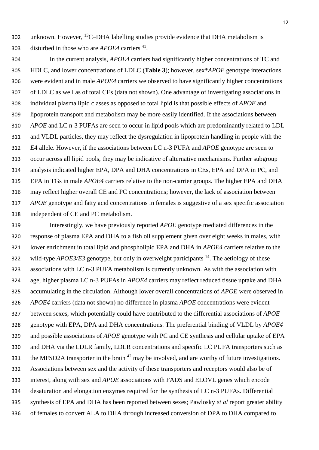302 unknown. However,  ${}^{13}C$ -DHA labelling studies provide evidence that DHA metabolism is 303 disturbed in those who are *APOE4* carriers <sup>41</sup>.

 In the current analysis, *APOE4* carriers had significantly higher concentrations of TC and HDLC, and lower concentrations of LDLC (**Table 3**); however, sex\**APOE* genotype interactions were evident and in male *APOE4* carriers we observed to have significantly higher concentrations of LDLC as well as of total CEs (data not shown). One advantage of investigating associations in individual plasma lipid classes as opposed to total lipid is that possible effects of *APOE* and lipoprotein transport and metabolism may be more easily identified. If the associations between *APOE* and LC n-3 PUFAs are seen to occur in lipid pools which are predominantly related to LDL and VLDL particles, they may reflect the dysregulation in lipoprotein handling in people with the *E*4 allele. However, if the associations between LC n-3 PUFA and *APOE* genotype are seen to occur across all lipid pools, they may be indicative of alternative mechanisms. Further subgroup analysis indicated higher EPA, DPA and DHA concentrations in CEs, EPA and DPA in PC, and EPA in TGs in male *APOE4* carriers relative to the non-carrier groups. The higher EPA and DHA may reflect higher overall CE and PC concentrations; however, the lack of association between *APOE* genotype and fatty acid concentrations in females is suggestive of a sex specific association independent of CE and PC metabolism.

 Interestingly, we have previously reported *APOE* genotype mediated differences in the response of plasma EPA and DHA to a fish oil supplement given over eight weeks in males, with lower enrichment in total lipid and phospholipid EPA and DHA in *APOE4* carriers relative to the 322 wild-type *APOE3/E3* genotype, but only in overweight participants <sup>14</sup>. The aetiology of these associations with LC n-3 PUFA metabolism is currently unknown. As with the association with age, higher plasma LC n-3 PUFAs in *APOE4* carriers may reflect reduced tissue uptake and DHA accumulating in the circulation. Although lower overall concentrations of *APOE* were observed in *APOE4* carriers (data not shown) no difference in plasma *APOE* concentrations were evident between sexes, which potentially could have contributed to the differential associations of *APOE* genotype with EPA, DPA and DHA concentrations. The preferential binding of VLDL by *APOE4*  and possible associations of *APOE* genotype with PC and CE synthesis and cellular uptake of EPA and DHA via the LDLR family, LDLR concentrations and specific LC PUFA transporters such as the MFSD2A transporter in the brain may be involved, and are worthy of future investigations. Associations between sex and the activity of these transporters and receptors would also be of interest, along with sex and *APOE* associations with FADS and ELOVL genes which encode desaturation and elongation enzymes required for the synthesis of LC n-3 PUFAs. Differential synthesis of EPA and DHA has been reported between sexes; Pawlosky *et al* report greater ability of females to convert ALA to DHA through increased conversion of DPA to DHA compared to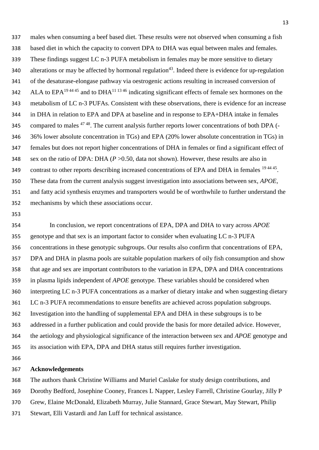males when consuming a beef based diet. These results were not observed when consuming a fish based diet in which the capacity to convert DPA to DHA was equal between males and females. These findings suggest LC n-3 PUFA metabolism in females may be more sensitive to dietary 340 alterations or may be affected by hormonal regulation<sup>43</sup>. Indeed there is evidence for up-regulation of the desaturase-elongase pathway via oestrogenic actions resulting in increased conversion of 342 ALA to  $EPA^{19\,44\,45}$  and to DHA<sup>11 1346</sup> indicating significant effects of female sex hormones on the metabolism of LC n-3 PUFAs. Consistent with these observations, there is evidence for an increase in DHA in relation to EPA and DPA at baseline and in response to EPA+DHA intake in females compared to males  $47\frac{48}{3}$ . The current analysis further reports lower concentrations of both DPA (- 36% lower absolute concentration in TGs) and EPA (20% lower absolute concentration in TGs) in females but does not report higher concentrations of DHA in females or find a significant effect of sex on the ratio of DPA: DHA (*P* >0.50, data not shown). However, these results are also in 349 contrast to other reports describing increased concentrations of EPA and DHA in females <sup>1944 45</sup>. These data from the current analysis suggest investigation into associations between sex, *APOE,*  and fatty acid synthesis enzymes and transporters would be of worthwhile to further understand the mechanisms by which these associations occur.

 In conclusion, we report concentrations of EPA, DPA and DHA to vary across *APOE*  genotype and that sex is an important factor to consider when evaluating LC n-3 PUFA concentrations in these genotypic subgroups. Our results also confirm that concentrations of EPA, DPA and DHA in plasma pools are suitable population markers of oily fish consumption and show that age and sex are important contributors to the variation in EPA, DPA and DHA concentrations in plasma lipids independent of *APOE* genotype. These variables should be considered when interpreting LC n-3 PUFA concentrations as a marker of dietary intake and when suggesting dietary LC n-3 PUFA recommendations to ensure benefits are achieved across population subgroups. Investigation into the handling of supplemental EPA and DHA in these subgroups is to be addressed in a further publication and could provide the basis for more detailed advice. However, the aetiology and physiological significance of the interaction between sex and *APOE* genotype and its association with EPA, DPA and DHA status still requires further investigation.

## **Acknowledgements**

The authors thank Christine Williams and Muriel Caslake for study design contributions, and

Dorothy Bedford, Josephine Cooney, Frances L Napper, Lesley Farrell, Christine Gourlay, Jilly P

- Grew, Elaine McDonald, Elizabeth Murray, Julie Stannard, Grace Stewart, May Stewart, Philip
- Stewart, Elli Vastardi and Jan Luff for technical assistance.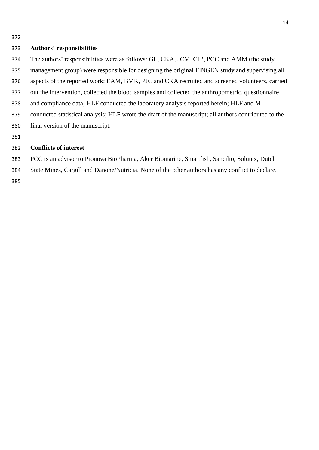#### **Authors' responsibilities**

- The authors' responsibilities were as follows: GL, CKA, JCM, CJP, PCC and AMM (the study
- management group) were responsible for designing the original FINGEN study and supervising all
- aspects of the reported work; EAM, BMK, PJC and CKA recruited and screened volunteers, carried
- out the intervention, collected the blood samples and collected the anthropometric, questionnaire
- and compliance data; HLF conducted the laboratory analysis reported herein; HLF and MI
- conducted statistical analysis; HLF wrote the draft of the manuscript; all authors contributed to the
- final version of the manuscript.
- 

## **Conflicts of interest**

- PCC is an advisor to Pronova BioPharma, Aker Biomarine, Smartfish, Sancilio, Solutex, Dutch
- State Mines, Cargill and Danone/Nutricia. None of the other authors has any conflict to declare.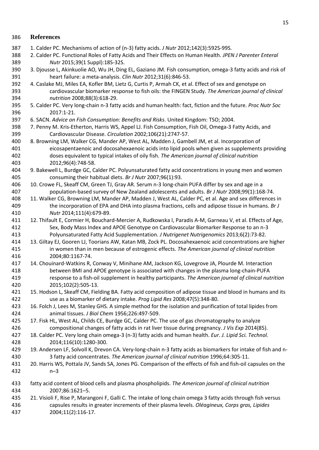## **References**

- 1. Calder PC. Mechanisms of action of (n-3) fatty acids. *J Nutr* 2012;142(3):592S-99S.
- 2. Calder PC. Functional Roles of Fatty Acids and Their Effects on Human Health. *JPEN J Parenter Enteral Nutr* 2015;39(1 Suppl):18S-32S.
- 3. Djousse L, Akinkuolie AO, Wu JH, Ding EL, Gaziano JM. Fish consumption, omega-3 fatty acids and risk of heart failure: a meta-analysis. *Clin Nutr* 2012;31(6):846-53.
- 4. Caslake MJ, Miles EA, Kofler BM, Lietz G, Curtis P, Armah CK, et al. Effect of sex and genotype on cardiovascular biomarker response to fish oils: the FINGEN Study. *The American journal of clinical nutrition* 2008;88(3):618-29.
- 5. Calder PC. Very long-chain n-3 fatty acids and human health: fact, fiction and the future. *Proc Nutr Soc* 2017:1-21.
- 6. SACN. *Advice on Fish Consumption: Benefits and Risks*. United Kingdom: TSO; 2004.
- 7. Penny M. Kris-Etherton, Harris WS, Appel LJ. Fish Consumption, Fish Oil, Omega-3 Fatty Acids, and Cardiovascular Disease. *Circulation* 2002;106(21):2747-57.
- 8. Browning LM, Walker CG, Mander AP, West AL, Madden J, Gambell JM, et al. Incorporation of eicosapentaenoic and docosahexaenoic acids into lipid pools when given as supplements providing doses equivalent to typical intakes of oily fish. *The American journal of clinical nutrition* 2012;96(4):748-58.
- 9. Bakewell L, Burdge GC, Calder PC. Polyunsaturated fatty acid concentrations in young men and women consuming their habitual diets. *Br J Nutr* 2007;96(1):93.
- 10. Crowe FL, Skeaff CM, Green TJ, Gray AR. Serum n-3 long-chain PUFA differ by sex and age in a population-based survey of New Zealand adolescents and adults. *Br J Nutr* 2008;99(1):168-74.
- 11. Walker CG, Browning LM, Mander AP, Madden J, West AL, Calder PC, et al. Age and sex differences in the incorporation of EPA and DHA into plasma fractions, cells and adipose tissue in humans. *Br J Nutr* 2014;111(4):679-89.
- 12. Thifault E, Cormier H, Bouchard-Mercier A, Rudkowska I, Paradis A-M, Garneau V, et al. Effects of Age, Sex, Body Mass Index and APOE Genotype on Cardiovascular Biomarker Response to an n-3 Polyunsaturated Fatty Acid Supplementation. *J Nutrigenet Nutrigenomics* 2013;6(2):73-82.
- 13. Giltay EJ, Gooren LJ, Toorians AW, Katan MB, Zock PL. Docosahexaenoic acid concentrations are higher in women than in men because of estrogenic effects. *The American journal of clinical nutrition* 2004;80:1167-74.
- 14. Chouinard-Watkins R, Conway V, Minihane AM, Jackson KG, Lovegrove JA, Plourde M. Interaction between BMI and APOE genotype is associated with changes in the plasma long-chain-PUFA response to a fish-oil supplement in healthy participants. *The American journal of clinical nutrition* 2015;102(2):505-13.
- 15. Hodson L, Skeaff CM, Fielding BA. Fatty acid composition of adipose tissue and blood in humans and its use as a biomarker of dietary intake. *Prog Lipid Res* 2008;47(5):348-80.
- 16. Folch J, Lees M, Stanley GHS. A simple method for the isolation and purification of total lipides from animal tissues. *J Biol Chem* 1956;226:497-509.
- 17. Fisk HL, West AL, Childs CE, Burdge GC, Calder PC. The use of gas chromatography to analyze compositional changes of fatty acids in rat liver tissue during pregnancy. *J Vis Exp* 2014(85).
- 18. Calder PC. Very long chain omega-3 (n-3) fatty acids and human health. *Eur. J. Lipid Sci. Technol.* 2014;116(10):1280-300.
- 19. Andersen LF, Solvoll K, Drevon CA. Very-long-chain n-3 fatty acids as biomarkers for intake of fish and n-3 fatty acid concentrates. *The American journal of clinical nutrition* 1996;64:305-11.
- 20. Harris WS, Pottala JV, Sands SA, Jones PG. Comparison of the effects of fish and fish-oil capsules on the n–3
- fatty acid content of blood cells and plasma phospholipids. *The American journal of clinical nutrition* 2007;86:1621–5.
- 21. Visioli F, Rise P, Marangoni F, Galli C. The intake of long chain omega 3 fatty acids through fish versus capsules results in greater increments of their plasma levels. *Oléagineux, Corps gras, Lipides* 2004;11(2):116-17.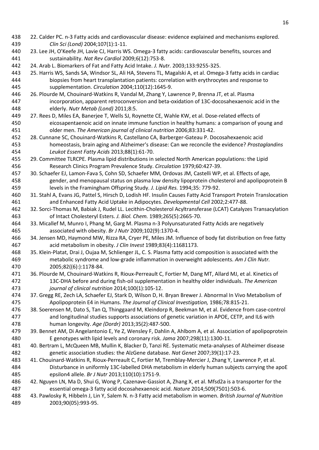- 22. Calder PC. n-3 Fatty acids and cardiovascular disease: evidence explained and mechanisms explored. *Clin Sci (Lond)* 2004;107(1):1-11.
- 23. Lee JH, O'Keefe JH, Lavie CJ, Harris WS. Omega-3 fatty acids: cardiovascular benefits, sources and sustainability. *Nat Rev Cardiol* 2009;6(12):753-8.
- 24. Arab L. Biomarkers of Fat and Fatty Acid Intake. *J. Nutr.* 2003;133:9255-325.
- 25. Harris WS, Sands SA, Windsor SL, Ali HA, Stevens TL, Magalski A, et al. Omega-3 fatty acids in cardiac biopsies from heart transplantation patients: correlation with erythrocytes and response to supplementation. *Circulation* 2004;110(12):1645-9.
- 26. Plourde M, Chouinard-Watkins R, Vandal M, Zhang Y, Lawrence P, Brenna JT, et al. Plasma incorporation, apparent retroconversion and beta-oxidation of 13C-docosahexaenoic acid in the elderly. *Nutr Metab (Lond)* 2011;8:5.
- 27. Rees D, Miles EA, Banerjee T, Wells SJ, Roynette CE, Wahle KW, et al. Dose-related effects of eicosapentaenoic acid on innate immune function in healthy humans: a comparison of young and older men. *The American journal of clinical nutrition* 2006;83:331-42.
- 28. Cunnane SC, Chouinard-Watkins R, Castellano CA, Barberger-Gateau P. Docosahexaenoic acid homeostasis, brain aging and Alzheimer's disease: Can we reconcile the evidence? *Prostaglandins Leukot Essent Fatty Acids* 2013;88(1):61-70.
- 29. Committee TLRCPE. Plasma lipid distributions in selected North American populations: the Lipid Research Clinics Program Prevalence Study. *Circulation* 1979;60:427-39.
- 30. Schaefer EJ, Lamon-Fava S, Cohn SD, Schaefer MM, Ordovas JM, Castelli WP, et al. Effects of age, gender, and menopausal status on plasma low density lipoprotein cholesterol and apolipoprotein B levels in the Framingham Offspring Study. *J. Lipid Res.* 1994;35: 779-92.
- 31. Stahl A, Evans JG, Pattel S, Hirsch D, Lodish HF. Insulin Causes Fatty Acid Transport Protein Translocation and Enhanced Fatty Acid Uptake in Adipocytes. *Developmental Cell* 2002;2:477-88.
- 32. Sorci-Thomas M, Babiak J, Rudel LL. Lecithin-Cholesterol Acyltransferase (LCAT) Catalyzes Transacylation of Intact Cholesteryl Esters. *J. Biol. Chem.* 1989;265(5):2665-70.
- 33. Micallef M, Munro I, Phang M, Garg M. Plasma n-3 Polyunsaturated Fatty Acids are negatively associated with obesity. *Br J Nutr* 2009;102(9):1370-4.
- 34. Jensen MD, Haymond MW, Rizza RA, Cryer PE, Miles JM. Influence of body fat distribution on free fatty acid metabolism in obesity. *J Clin Invest* 1989;83(4):11681173.
- 35. Klein-Platat, Drai J, Oujaa M, Schlienger JL, C. S. Plasma fatty acid composition is associated with the metabolic syndrome and low-grade inflammation in overweight adolescents. *Am J Clin Nutr.* 2005;82((6):):1178-84.
- 36. Plourde M, Chouinard-Watkins R, Rioux-Perreault C, Fortier M, Dang MT, Allard MJ, et al. Kinetics of 13C-DHA before and during fish-oil supplementation in healthy older individuals. *The American journal of clinical nutrition* 2014;100(1):105-12.
- 37. Gregg RE, Zech LA, Schaefer EJ, Stark D, Wilson D, H. Bryan Brewer J. Abnormal In Vivo Metabolism of Apolipoprotein E4 in Humans. *The Journal of Clinical Investigation,* 1986;78:815-21.
- 38. Soerensen M, Dato S, Tan Q, Thinggaard M, Kleindorp R, Beekman M, et al. Evidence from case-control and longitudinal studies supports associations of genetic variation in APOE, CETP, and IL6 with human longevity. *Age (Dordr)* 2013;35(2):487-500.
- 39. Bennet AM, Di Angelantonio E, Ye Z, Wensley F, Dahlin A, Ahlbom A, et al. Association of apolipoprotein E genotypes with lipid levels and coronary risk. *Jama* 2007;298(11):1300-11.
- 40. Bertram L, McQueen MB, Mullin K, Blacker D, Tanzi RE. Systematic meta-analyses of Alzheimer disease genetic association studies: the AlzGene database. *Nat Genet* 2007;39(1):17-23.
- 41. Chouinard-Watkins R, Rioux-Perreault C, Fortier M, Tremblay-Mercier J, Zhang Y, Lawrence P, et al. Disturbance in uniformly 13C-labelled DHA metabolism in elderly human subjects carrying the apoE epsilon4 allele. *Br J Nutr* 2013;110(10):1751-9.
- 42. Nguyen LN, Ma D, Shui G, Wong P, Cazenave-Gassiot A, Zhang X, et al. Mfsd2a is a transporter for the essential omega-3 fatty acid docosahexaenoic acid. *Nature* 2014;509(7501):503-6.
- 43. Pawlosky R, Hibbeln J, Lin Y, Salem N. n-3 Fatty acid metabolism in women. *British Journal of Nutrition* 2003;90(05):993-95.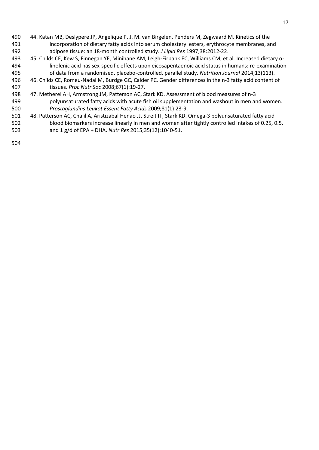- 44. Katan MB, Deslypere JP, Angelique P. J. M. van Birgelen, Penders M, Zegwaard M. Kinetics of the incorporation of dietary fatty acids into serum cholesteryl esters, erythrocyte membranes, and adipose tissue: an 18-month controlled study. *J Lipid Res* 1997;38:2012-22.
- 45. Childs CE, Kew S, Finnegan YE, Minihane AM, Leigh-Firbank EC, Williams CM, et al. Increased dietary α- linolenic acid has sex-specific effects upon eicosapentaenoic acid status in humans: re-examination of data from a randomised, placebo-controlled, parallel study. *Nutrition Journal* 2014;13(113).
- 46. Childs CE, Romeu-Nadal M, Burdge GC, Calder PC. Gender differences in the n-3 fatty acid content of tissues. *Proc Nutr Soc* 2008;67(1):19-27.
- 47. Metherel AH, Armstrong JM, Patterson AC, Stark KD. Assessment of blood measures of n-3 polyunsaturated fatty acids with acute fish oil supplementation and washout in men and women. *Prostaglandins Leukot Essent Fatty Acids* 2009;81(1):23-9.
- 48. Patterson AC, Chalil A, Aristizabal Henao JJ, Streit IT, Stark KD. Omega-3 polyunsaturated fatty acid blood biomarkers increase linearly in men and women after tightly controlled intakes of 0.25, 0.5,
- and 1 g/d of EPA + DHA. *Nutr Res* 2015;35(12):1040-51.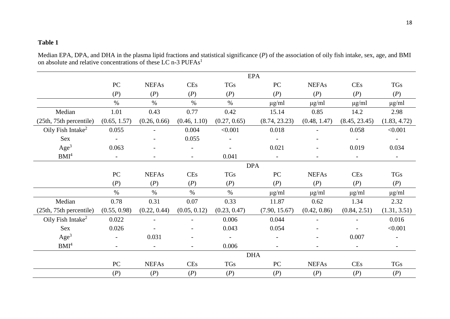## **Table 1**

Median EPA, DPA, and DHA in the plasma lipid fractions and statistical significance (*P*) of the association of oily fish intake, sex, age, and BMI on absolute and relative concentrations of these LC n-3 PUFAs<sup>1</sup>

|                               | <b>EPA</b>               |              |                          |                          |                          |                          |                          |              |
|-------------------------------|--------------------------|--------------|--------------------------|--------------------------|--------------------------|--------------------------|--------------------------|--------------|
|                               | PC                       | <b>NEFAs</b> | <b>CEs</b>               | <b>TGs</b>               | PC                       | <b>NEFAs</b>             | <b>CEs</b>               | <b>TGs</b>   |
|                               | (P)                      | (P)          | (P)                      | (P)                      | (P)                      | (P)                      | (P)                      | (P)          |
|                               | $\%$                     | $\%$         | $\%$                     | $\%$                     | $\mu$ g/ml               | $\mu$ g/ml               | $\mu$ g/ml               | $\mu$ g/ml   |
| Median                        | 1.01                     | 0.43         | 0.77                     | 0.42                     | 15.14                    | 0.85                     | 14.2                     | 2.98         |
| (25th, 75th percentile)       | (0.65, 1.57)             | (0.26, 0.66) | (0.46, 1.10)             | (0.27, 0.65)             | (8.74, 23.23)            | (0.48, 1.47)             | (8.45, 23.45)            | (1.83, 4.72) |
| Oily Fish Intake <sup>2</sup> | 0.055                    |              | 0.004                    | < 0.001                  | 0.018                    |                          | 0.058                    | < 0.001      |
| Sex                           |                          |              | 0.055                    |                          |                          |                          |                          |              |
| Age <sup>3</sup>              | 0.063                    |              |                          |                          | 0.021                    |                          | 0.019                    | 0.034        |
| BMI <sup>4</sup>              | $\overline{\phantom{a}}$ |              | $\overline{\phantom{0}}$ | 0.041                    | $\overline{\phantom{a}}$ | $\overline{\phantom{a}}$ | $\overline{\phantom{a}}$ |              |
|                               |                          | <b>DPA</b>   |                          |                          |                          |                          |                          |              |
|                               | PC                       | <b>NEFAs</b> | <b>CEs</b>               | <b>TGs</b>               | PC                       | <b>NEFAs</b>             | <b>CEs</b>               | <b>TGs</b>   |
|                               | (P)                      | (P)          | (P)                      | (P)                      | (P)                      | (P)                      | (P)                      | (P)          |
|                               | $\%$                     | $\%$         | $\%$                     | $\%$                     | $\mu$ g/ml               | $\mu$ g/ml               | $\mu$ g/ml               | $\mu$ g/ml   |
| Median                        | 0.78                     | 0.31         | 0.07                     | 0.33                     | 11.87                    | 0.62                     | 1.34                     | 2.32         |
| (25th, 75th percentile)       | (0.55, 0.98)             | (0.22, 0.44) | (0.05, 0.12)             | (0.23, 0.47)             | (7.90, 15.67)            | (0.42, 0.86)             | (0.84, 2.51)             | (1.31, 3.51) |
| Oily Fish Intake <sup>2</sup> | 0.022                    |              | $\overline{a}$           | 0.006                    | 0.044                    | $\overline{\phantom{0}}$ | $\blacksquare$           | 0.016        |
| Sex                           | 0.026                    |              |                          | 0.043                    | 0.054                    |                          |                          | < 0.001      |
| Age <sup>3</sup>              | $\overline{\phantom{a}}$ | 0.031        |                          | $\overline{\phantom{a}}$ | $\overline{\phantom{0}}$ |                          | 0.007                    |              |
| BMI <sup>4</sup>              | $\overline{a}$           |              | $\overline{\phantom{0}}$ | 0.006                    |                          |                          | $\overline{\phantom{a}}$ |              |
|                               |                          |              |                          |                          | <b>DHA</b>               |                          |                          |              |
|                               | ${\rm P}{\bf C}$         | <b>NEFAs</b> | <b>CEs</b>               | <b>TGs</b>               | ${\rm P}{\bf C}$         | <b>NEFAs</b>             | <b>CEs</b>               | TGs          |
|                               | (P)                      | (P)          | (P)                      | (P)                      | (P)                      | (P)                      | (P)                      | (P)          |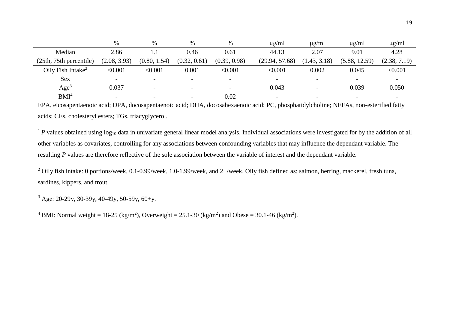|                               | $\%$                     | $\%$                     | $\%$                     | %                        | $\mu$ g/ml               | $\mu$ g/ml               | $\mu$ g/ml               | $\mu$ g/ml   |
|-------------------------------|--------------------------|--------------------------|--------------------------|--------------------------|--------------------------|--------------------------|--------------------------|--------------|
| Median                        | 2.86                     |                          | 0.46                     | 0.61                     | 44.13                    | 2.07                     | 9.01                     | 4.28         |
| (25th, 75th percentile)       | (2.08, 3.93)             | (0.80, 1.54)             | (0.32, 0.61)             | (0.39, 0.98)             | (29.94, 57.68)           | (1.43, 3.18)             | (5.88, 12.59)            | (2.38, 7.19) |
| Oily Fish Intake <sup>2</sup> | < 0.001                  | < 0.001                  | 0.001                    | < 0.001                  | < 0.001                  | 0.002                    | 0.045                    | < 0.001      |
| <b>Sex</b>                    | $\overline{\phantom{0}}$ | $\overline{\phantom{0}}$ | $\overline{\phantom{0}}$ | $\overline{\phantom{0}}$ | $\overline{\phantom{0}}$ | $\overline{\phantom{0}}$ | $\overline{\phantom{0}}$ |              |
| Age <sup>3</sup>              | 0.037                    |                          |                          | $\overline{\phantom{a}}$ | 0.043                    | -                        | 0.039                    | 0.050        |
| BMI <sup>4</sup>              | $\overline{\phantom{0}}$ | $\overline{\phantom{0}}$ | $\overline{\phantom{0}}$ | 0.02                     |                          | $\overline{\phantom{0}}$ |                          |              |

EPA, eicosapentaenoic acid; DPA, docosapentaenoic acid; DHA, docosahexaenoic acid; PC, phosphatidylcholine; NEFAs, non-esterified fatty acids; CEs, cholesteryl esters; TGs, triacyglycerol.

<sup>1</sup>P values obtained using log<sub>10</sub> data in univariate general linear model analysis. Individual associations were investigated for by the addition of all other variables as covariates, controlling for any associations between confounding variables that may influence the dependant variable. The resulting *P* values are therefore reflective of the sole association between the variable of interest and the dependant variable.

<sup>2</sup> Oily fish intake: 0 portions/week, 0.1-0.99/week, 1.0-1.99/week, and 2+/week. Oily fish defined as: salmon, herring, mackerel, fresh tuna, sardines, kippers, and trout.

 $3$  Age: 20-29y, 30-39y, 40-49y, 50-59y, 60+y.

<sup>4</sup> BMI: Normal weight = 18-25 (kg/m<sup>2</sup>), Overweight = 25.1-30 (kg/m<sup>2</sup>) and Obese = 30.1-46 (kg/m<sup>2</sup>).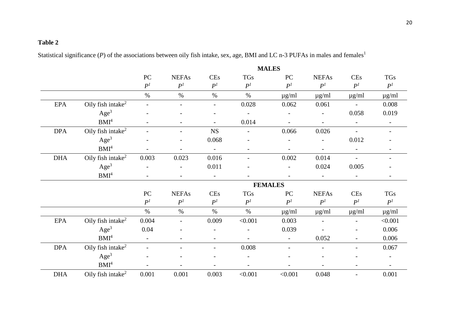## **Table 2**

Statistical significance (*P*) of the associations between oily fish intake, sex, age, BMI and LC n-3 PUFAs in males and females<sup>1</sup>

|            |                               | <b>MALES</b>             |                          |                          |                          |                          |                          |                          |                          |
|------------|-------------------------------|--------------------------|--------------------------|--------------------------|--------------------------|--------------------------|--------------------------|--------------------------|--------------------------|
|            |                               | ${\rm P}{\bf C}$         | <b>NEFAs</b>             | <b>CEs</b>               | TGs                      | ${\rm P}{\bf C}$         | <b>NEFAs</b>             | <b>CEs</b>               | TGs                      |
|            |                               | P <sup>1</sup>           | P <sup>1</sup>           | P <sup>1</sup>           | P <sup>1</sup>           | P <sup>1</sup>           | P <sup>1</sup>           | P <sup>1</sup>           | P <sup>1</sup>           |
|            |                               | $\%$                     | $\%$                     | $\%$                     | $\%$                     | $\mu$ g/ml               | $\mu$ g/ml               | $\mu$ g/ml               | $\mu$ g/ml               |
| <b>EPA</b> | Oily fish intake $2$          |                          |                          | $\overline{\phantom{0}}$ | 0.028                    | 0.062                    | 0.061                    | $\overline{a}$           | 0.008                    |
|            | Age <sup>3</sup>              |                          |                          | -                        |                          | $\overline{a}$           |                          | 0.058                    | 0.019                    |
|            | BMI <sup>4</sup>              |                          |                          |                          | 0.014                    |                          | $\overline{\phantom{0}}$ | $\overline{\phantom{a}}$ | $\overline{\phantom{a}}$ |
| <b>DPA</b> | Oily fish intake <sup>2</sup> |                          |                          | NS                       | $\overline{\phantom{a}}$ | 0.066                    | 0.026                    | $\overline{\phantom{a}}$ | $\overline{\phantom{a}}$ |
|            | Age <sup>3</sup>              |                          | $\overline{\phantom{a}}$ | 0.068                    | $\overline{\phantom{a}}$ |                          | $\overline{\phantom{a}}$ | 0.012                    |                          |
|            | BMI <sup>4</sup>              |                          |                          | $\overline{\phantom{a}}$ | $\overline{\phantom{a}}$ |                          | $\overline{\phantom{0}}$ | $\overline{\phantom{a}}$ |                          |
| <b>DHA</b> | Oily fish intake <sup>2</sup> | 0.003                    | 0.023                    | 0.016                    |                          | 0.002                    | 0.014                    | $\overline{a}$           |                          |
|            | Age <sup>3</sup>              |                          | $\overline{\phantom{a}}$ | 0.011                    |                          | $\overline{a}$           | 0.024                    | 0.005                    |                          |
|            | BMI <sup>4</sup>              |                          |                          | $\overline{\phantom{a}}$ |                          |                          | $\overline{\phantom{a}}$ | $\overline{\phantom{a}}$ |                          |
|            |                               |                          |                          |                          |                          | <b>FEMALES</b>           |                          |                          |                          |
|            |                               | $\rm{PC}$                | <b>NEFAs</b>             | <b>CEs</b>               | TGs                      | PC                       | <b>NEFAs</b>             | <b>CEs</b>               | <b>TGs</b>               |
|            |                               | P <sup>1</sup>           | P <sup>1</sup>           | P <sup>1</sup>           | P <sup>1</sup>           | P <sup>1</sup>           | P <sup>1</sup>           | P <sup>1</sup>           | P <sup>1</sup>           |
|            |                               | $\%$                     | $\%$                     | $\%$                     | $\%$                     | $\mu g/ml$               | $\mu g/ml$               | $\mu g/ml$               | $\mu g/ml$               |
| <b>EPA</b> | Oily fish intake <sup>2</sup> | 0.004                    | $\overline{\phantom{a}}$ | 0.009                    | < 0.001                  | 0.003                    |                          | $\overline{\phantom{a}}$ | < 0.001                  |
|            | Age <sup>3</sup>              | 0.04                     |                          | $\overline{a}$           |                          | 0.039                    |                          | $\overline{\phantom{a}}$ | 0.006                    |
|            | BMI <sup>4</sup>              | $\overline{\phantom{a}}$ |                          | -                        |                          | $\overline{\phantom{a}}$ | 0.052                    | $\overline{\phantom{0}}$ | 0.006                    |
| <b>DPA</b> | Oily fish intake <sup>2</sup> |                          |                          | $\overline{\phantom{0}}$ | 0.008                    | $\overline{a}$           | $\overline{\phantom{0}}$ | $\overline{\phantom{0}}$ | 0.067                    |
|            | Age <sup>3</sup>              |                          |                          |                          |                          |                          |                          |                          |                          |
|            | BMI <sup>4</sup>              |                          | $\overline{a}$           | $\overline{a}$           | $\overline{\phantom{a}}$ |                          | $\overline{a}$           | $\overline{\phantom{a}}$ | $\overline{\phantom{a}}$ |
| <b>DHA</b> | Oily fish intake <sup>2</sup> | 0.001                    | 0.001                    | 0.003                    | < 0.001                  | < 0.001                  | 0.048                    | $\overline{\phantom{a}}$ | 0.001                    |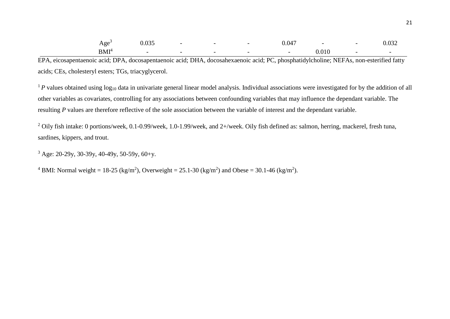| Age <sup>3</sup> | 0.035 | $-$ |  | 0.047                    | $\overline{\phantom{0}}$ | $\overline{\phantom{0}}$ | 0.032 |
|------------------|-------|-----|--|--------------------------|--------------------------|--------------------------|-------|
| BMI <sup>4</sup> |       |     |  | $\overline{\phantom{a}}$ | 0.010                    | $\overline{\phantom{0}}$ |       |

EPA, eicosapentaenoic acid; DPA, docosapentaenoic acid; DHA, docosahexaenoic acid; PC, phosphatidylcholine; NEFAs, non-esterified fatty acids; CEs, cholesteryl esters; TGs, triacyglycerol.

<sup>1</sup>P values obtained using log<sub>10</sub> data in univariate general linear model analysis. Individual associations were investigated for by the addition of all other variables as covariates, controlling for any associations between confounding variables that may influence the dependant variable. The resulting *P* values are therefore reflective of the sole association between the variable of interest and the dependant variable.

<sup>2</sup> Oily fish intake: 0 portions/week, 0.1-0.99/week, 1.0-1.99/week, and 2+/week. Oily fish defined as: salmon, herring, mackerel, fresh tuna, sardines, kippers, and trout.

 $3$  Age: 20-29y, 30-39y, 40-49y, 50-59y, 60+y.

<sup>4</sup> BMI: Normal weight = 18-25 (kg/m<sup>2</sup>), Overweight = 25.1-30 (kg/m<sup>2</sup>) and Obese = 30.1-46 (kg/m<sup>2</sup>).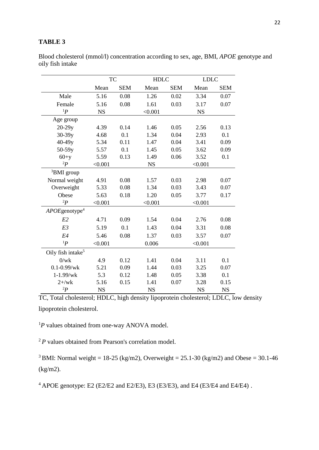## **TABLE 3**

Blood cholesterol (mmol/l) concentration according to sex, age, BMI, *APOE* genotype and oily fish intake

|                               | <b>TC</b> |            | <b>HDLC</b> |            | <b>LDLC</b> |            |
|-------------------------------|-----------|------------|-------------|------------|-------------|------------|
|                               | Mean      | <b>SEM</b> | Mean        | <b>SEM</b> | Mean        | <b>SEM</b> |
| Male                          | 5.16      | 0.08       | 1.26        | 0.02       | 3.34        | 0.07       |
| Female                        | 5.16      | 0.08       | 1.61        | 0.03       | 3.17        | 0.07       |
| $1\bm{p}$                     | <b>NS</b> |            | < 0.001     |            | <b>NS</b>   |            |
| Age group                     |           |            |             |            |             |            |
| $20-29y$                      | 4.39      | 0.14       | 1.46        | 0.05       | 2.56        | 0.13       |
| $30-39y$                      | 4.68      | 0.1        | 1.34        | 0.04       | 2.93        | 0.1        |
| $40-49y$                      | 5.34      | 0.11       | 1.47        | 0.04       | 3.41        | 0.09       |
| $50-59y$                      | 5.57      | 0.1        | 1.45        | 0.05       | 3.62        | 0.09       |
| $60+y$                        | 5.59      | 0.13       | 1.49        | 0.06       | 3.52        | 0.1        |
| $^{2}P$                       | < 0.001   |            | <b>NS</b>   |            | < 0.001     |            |
| <sup>3</sup> BMI group        |           |            |             |            |             |            |
| Normal weight                 | 4.91      | 0.08       | 1.57        | 0.03       | 2.98        | 0.07       |
| Overweight                    | 5.33      | 0.08       | 1.34        | 0.03       | 3.43        | 0.07       |
| Obese                         | 5.63      | 0.18       | 1.20        | 0.05       | 3.77        | 0.17       |
| $^{2}P$                       | < 0.001   |            | < 0.001     |            | < 0.001     |            |
| $APOE$ genotype <sup>4</sup>  |           |            |             |            |             |            |
| E2                            | 4.71      | 0.09       | 1.54        | 0.04       | 2.76        | 0.08       |
| E3                            | 5.19      | 0.1        | 1.43        | 0.04       | 3.31        | 0.08       |
| E4                            | 5.46      | 0.08       | 1.37        | 0.03       | 3.57        | 0.07       |
| $1\bm{p}$                     | < 0.001   |            | 0.006       |            | < 0.001     |            |
| Oily fish intake <sup>5</sup> |           |            |             |            |             |            |
| 0/wk                          | 4.9       | 0.12       | 1.41        | 0.04       | 3.11        | 0.1        |
| $0.1 - 0.99$ /wk              | 5.21      | 0.09       | 1.44        | 0.03       | 3.25        | 0.07       |
| $1 - 1.99$ /wk                | 5.3       | 0.12       | 1.48        | 0.05       | 3.38        | 0.1        |
| $2 + / wk$                    | 5.16      | 0.15       | 1.41        | 0.07       | 3.28        | 0.15       |
| $^{2}P$                       | <b>NS</b> |            | <b>NS</b>   |            | <b>NS</b>   | <b>NS</b>  |

TC, Total cholesterol; HDLC, high density lipoprotein cholesterol; LDLC, low density lipoprotein cholesterol.

<sup>1</sup>P values obtained from one-way ANOVA model.

<sup>2</sup>*P* values obtained from Pearson's correlation model.

<sup>3</sup> BMI: Normal weight = 18-25 (kg/m2), Overweight =  $25.1-30$  (kg/m2) and Obese =  $30.1-46$ (kg/m2).

 $4$  APOE genotype: E2 (E2/E2 and E2/E3), E3 (E3/E3), and E4 (E3/E4 and E4/E4).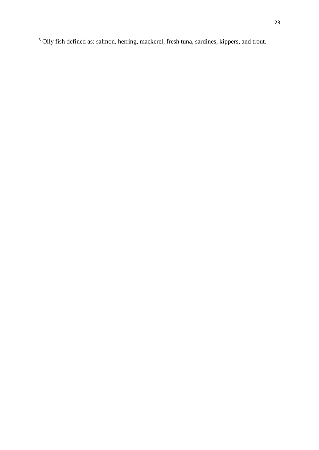<sup>5</sup> Oily fish defined as: salmon, herring, mackerel, fresh tuna, sardines, kippers, and trout.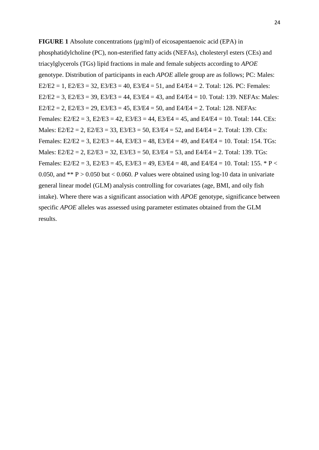**FIGURE 1** Absolute concentrations ( $\mu$ g/ml) of eicosapentaenoic acid (EPA) in phosphatidylcholine (PC), non-esterified fatty acids (NEFAs), cholesteryl esters (CEs) and triacylglycerols (TGs) lipid fractions in male and female subjects according to *APOE* genotype. Distribution of participants in each *APOE* allele group are as follows; PC: Males:  $E2/E2 = 1$ ,  $E2/E3 = 32$ ,  $E3/E3 = 40$ ,  $E3/E4 = 51$ , and  $E4/E4 = 2$ . Total: 126. PC: Females:  $E2/E2 = 3$ ,  $E2/E3 = 39$ ,  $E3/E3 = 44$ ,  $E3/E4 = 43$ , and  $E4/E4 = 10$ . Total: 139. NEFAs: Males:  $E2/E2 = 2$ ,  $E2/E3 = 29$ ,  $E3/E3 = 45$ ,  $E3/E4 = 50$ , and  $E4/E4 = 2$ . Total: 128. NEFAs: Females:  $E2/E2 = 3$ ,  $E2/E3 = 42$ ,  $E3/E3 = 44$ ,  $E3/E4 = 45$ , and  $E4/E4 = 10$ . Total: 144. CEs: Males:  $E2/E2 = 2$ ,  $E2/E3 = 33$ ,  $E3/E3 = 50$ ,  $E3/E4 = 52$ , and  $E4/E4 = 2$ . Total: 139. CEs: Females:  $E2/E2 = 3$ ,  $E2/E3 = 44$ ,  $E3/E3 = 48$ ,  $E3/E4 = 49$ , and  $E4/E4 = 10$ . Total: 154. TGs: Males:  $E2/E2 = 2$ ,  $E2/E3 = 32$ ,  $E3/E3 = 50$ ,  $E3/E4 = 53$ , and  $E4/E4 = 2$ . Total: 139. TGs: Females: E2/E2 = 3, E2/E3 = 45, E3/E3 = 49, E3/E4 = 48, and E4/E4 = 10. Total: 155. \* P < 0.050, and  $*$  P > 0.050 but < 0.060. *P* values were obtained using log-10 data in univariate general linear model (GLM) analysis controlling for covariates (age, BMI, and oily fish intake). Where there was a significant association with *APOE* genotype, significance between specific *APOE* alleles was assessed using parameter estimates obtained from the GLM results.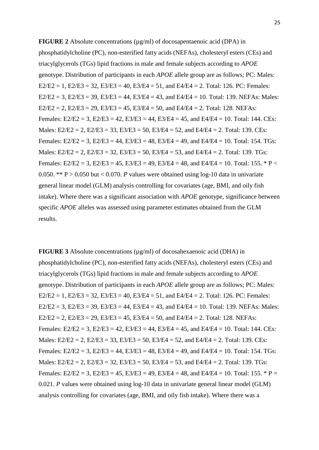**FIGURE 2** Absolute concentrations ( $\mu$ g/ml) of docosapentaenoic acid (DPA) in phosphatidylcholine (PC), non-esterified fatty acids (NEFAs), cholesteryl esters (CEs) and triacylglycerols (TGs) lipid fractions in male and female subjects according to *APOE* genotype. Distribution of participants in each *APOE* allele group are as follows; PC: Males:  $E2/E2 = 1$ ,  $E2/E3 = 32$ ,  $E3/E3 = 40$ ,  $E3/E4 = 51$ , and  $E4/E4 = 2$ . Total: 126. PC: Females:  $E2/E2 = 3$ ,  $E2/E3 = 39$ ,  $E3/E3 = 44$ ,  $E3/E4 = 43$ , and  $E4/E4 = 10$ . Total: 139. NEFAs: Males:  $E2/E2 = 2$ ,  $E2/E3 = 29$ ,  $E3/E3 = 45$ ,  $E3/E4 = 50$ , and  $E4/E4 = 2$ . Total: 128. NEFAs: Females:  $E2/E2 = 3$ ,  $E2/E3 = 42$ ,  $E3/E3 = 44$ ,  $E3/E4 = 45$ , and  $E4/E4 = 10$ . Total: 144. CEs: Males:  $E2/E2 = 2$ ,  $E2/E3 = 33$ ,  $E3/E3 = 50$ ,  $E3/E4 = 52$ , and  $E4/E4 = 2$ . Total: 139. CEs: Females:  $E2/E2 = 3$ ,  $E2/E3 = 44$ ,  $E3/E3 = 48$ ,  $E3/E4 = 49$ , and  $E4/E4 = 10$ . Total: 154. TGs: Males:  $E2/E2 = 2$ ,  $E2/E3 = 32$ ,  $E3/E3 = 50$ ,  $E3/E4 = 53$ , and  $E4/E4 = 2$ . Total: 139. TGs: Females: E2/E2 = 3, E2/E3 = 45, E3/E3 = 49, E3/E4 = 48, and E4/E4 = 10. Total: 155. \* P < 0.050. \*\*  $P > 0.050$  but  $< 0.070$ . *P* values were obtained using log-10 data in univariate general linear model (GLM) analysis controlling for covariates (age, BMI, and oily fish intake). Where there was a significant association with *APOE* genotype, significance between specific *APOE* alleles was assessed using parameter estimates obtained from the GLM results.

**FIGURE 3** Absolute concentrations (µg/ml) of docosahexaenoic acid (DHA) in phosphatidylcholine (PC), non-esterified fatty acids (NEFAs), cholesteryl esters (CEs) and triacylglycerols (TGs) lipid fractions in male and female subjects according to *APOE* genotype. Distribution of participants in each *APOE* allele group are as follows; PC: Males:  $E2/E2 = 1$ ,  $E2/E3 = 32$ ,  $E3/E3 = 40$ ,  $E3/E4 = 51$ , and  $E4/E4 = 2$ . Total: 126. PC: Females:  $E2/E2 = 3$ ,  $E2/E3 = 39$ ,  $E3/E3 = 44$ ,  $E3/E4 = 43$ , and  $E4/E4 = 10$ . Total: 139. NEFAs: Males:  $E2/E2 = 2$ ,  $E2/E3 = 29$ ,  $E3/E3 = 45$ ,  $E3/E4 = 50$ , and  $E4/E4 = 2$ . Total: 128. NEFAs: Females:  $E2/E2 = 3$ ,  $E2/E3 = 42$ ,  $E3/E3 = 44$ ,  $E3/E4 = 45$ , and  $E4/E4 = 10$ . Total: 144. CEs: Males:  $E2/E2 = 2$ ,  $E2/E3 = 33$ ,  $E3/E3 = 50$ ,  $E3/E4 = 52$ , and  $E4/E4 = 2$ . Total: 139. CEs: Females:  $E2/E2 = 3$ ,  $E2/E3 = 44$ ,  $E3/E3 = 48$ ,  $E3/E4 = 49$ , and  $E4/E4 = 10$ . Total: 154. TGs: Males:  $E2/E2 = 2$ ,  $E2/E3 = 32$ ,  $E3/E3 = 50$ ,  $E3/E4 = 53$ , and  $E4/E4 = 2$ . Total: 139. TGs: Females: E2/E2 = 3, E2/E3 = 45, E3/E3 = 49, E3/E4 = 48, and E4/E4 = 10. Total: 155. \* P = 0.021. *P* values were obtained using log-10 data in univariate general linear model (GLM) analysis controlling for covariates (age, BMI, and oily fish intake). Where there was a